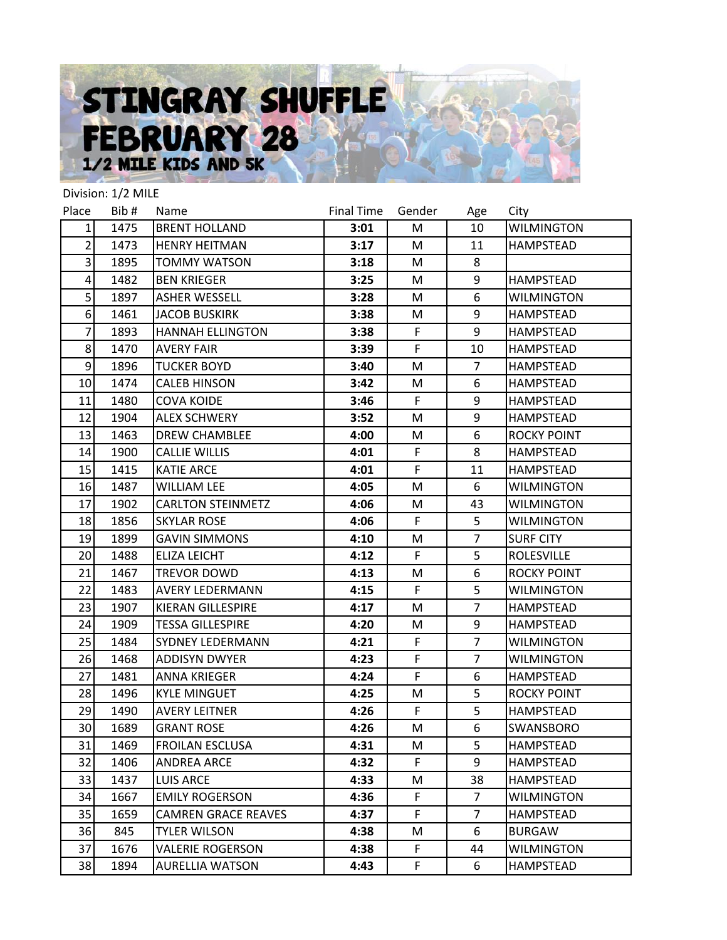## STINGRAY SHUFFLE **FEBRUARY 28**

|                 | Division: 1/2 MILE |                            |            |              |                |                    |
|-----------------|--------------------|----------------------------|------------|--------------|----------------|--------------------|
| Place           | Bib#               | Name                       | Final Time | Gender       | Age            | City               |
| $1\vert$        | 1475               | <b>BRENT HOLLAND</b>       | 3:01       | M            | 10             | <b>WILMINGTON</b>  |
| $\overline{2}$  | 1473               | <b>HENRY HEITMAN</b>       | 3:17       | M            | 11             | <b>HAMPSTEAD</b>   |
| 3               | 1895               | <b>TOMMY WATSON</b>        | 3:18       | M            | 8              |                    |
| 4               | 1482               | <b>BEN KRIEGER</b>         | 3:25       | M            | 9              | <b>HAMPSTEAD</b>   |
| 5 <sup>1</sup>  | 1897               | <b>ASHER WESSELL</b>       | 3:28       | M            | 6              | <b>WILMINGTON</b>  |
| $6 \mid$        | 1461               | <b>JACOB BUSKIRK</b>       | 3:38       | М            | 9              | <b>HAMPSTEAD</b>   |
| 7               | 1893               | <b>HANNAH ELLINGTON</b>    | 3:38       | $\mathsf{F}$ | 9              | <b>HAMPSTEAD</b>   |
| 8 <sup>1</sup>  | 1470               | <b>AVERY FAIR</b>          | 3:39       | F            | 10             | <b>HAMPSTEAD</b>   |
| 9               | 1896               | <b>TUCKER BOYD</b>         | 3:40       | M            | $\overline{7}$ | HAMPSTEAD          |
| 10              | 1474               | <b>CALEB HINSON</b>        | 3:42       | M            | 6              | <b>HAMPSTEAD</b>   |
| 11              | 1480               | <b>COVA KOIDE</b>          | 3:46       | F            | 9              | <b>HAMPSTEAD</b>   |
| 12              | 1904               | <b>ALEX SCHWERY</b>        | 3:52       | M            | 9              | <b>HAMPSTEAD</b>   |
| 13              | 1463               | <b>DREW CHAMBLEE</b>       | 4:00       | M            | 6              | <b>ROCKY POINT</b> |
| 14              | 1900               | <b>CALLIE WILLIS</b>       | 4:01       | F            | 8              | <b>HAMPSTEAD</b>   |
| 15              | 1415               | <b>KATIE ARCE</b>          | 4:01       | F            | 11             | <b>HAMPSTEAD</b>   |
| 16              | 1487               | <b>WILLIAM LEE</b>         | 4:05       | M            | 6              | <b>WILMINGTON</b>  |
| 17              | 1902               | <b>CARLTON STEINMETZ</b>   | 4:06       | M            | 43             | <b>WILMINGTON</b>  |
| 18              | 1856               | <b>SKYLAR ROSE</b>         | 4:06       | $\mathsf F$  | 5              | <b>WILMINGTON</b>  |
| 19              | 1899               | <b>GAVIN SIMMONS</b>       | 4:10       | М            | $\overline{7}$ | <b>SURF CITY</b>   |
| 20              | 1488               | <b>ELIZA LEICHT</b>        | 4:12       | F            | 5              | <b>ROLESVILLE</b>  |
| 21              | 1467               | TREVOR DOWD                | 4:13       | M            | 6              | <b>ROCKY POINT</b> |
| 22              | 1483               | <b>AVERY LEDERMANN</b>     | 4:15       | F            | 5              | <b>WILMINGTON</b>  |
| 23              | 1907               | <b>KIERAN GILLESPIRE</b>   | 4:17       | M            | $\overline{7}$ | <b>HAMPSTEAD</b>   |
| 24              | 1909               | <b>TESSA GILLESPIRE</b>    | 4:20       | M            | 9              | HAMPSTEAD          |
| 25              | 1484               | SYDNEY LEDERMANN           | 4:21       | F            | $\overline{7}$ | <b>WILMINGTON</b>  |
| 26              | 1468               | <b>ADDISYN DWYER</b>       | 4:23       | F            | $\overline{7}$ | <b>WILMINGTON</b>  |
| 27              | 1481               | <b>ANNA KRIEGER</b>        | 4:24       | F            | 6              | <b>HAMPSTEAD</b>   |
| 28              | 1496               | <b>KYLE MINGUET</b>        | 4:25       | M            | 5              | <b>ROCKY POINT</b> |
| 29              | 1490               | <b>AVERY LEITNER</b>       | 4:26       | $\mathsf F$  | 5              | <b>HAMPSTEAD</b>   |
| 30 <sub>l</sub> | 1689               | <b>GRANT ROSE</b>          | 4:26       | М            | 6              | SWANSBORO          |
| 31              | 1469               | <b>FROILAN ESCLUSA</b>     | 4:31       | M            | 5              | <b>HAMPSTEAD</b>   |
| 32              | 1406               | <b>ANDREA ARCE</b>         | 4:32       | F.           | 9              | <b>HAMPSTEAD</b>   |
| 33              | 1437               | <b>LUIS ARCE</b>           | 4:33       | M            | 38             | HAMPSTEAD          |
| 34              | 1667               | <b>EMILY ROGERSON</b>      | 4:36       | F            | $\overline{7}$ | <b>WILMINGTON</b>  |
| 35              | 1659               | <b>CAMREN GRACE REAVES</b> | 4:37       | F.           | 7              | HAMPSTEAD          |
| 36              | 845                | <b>TYLER WILSON</b>        | 4:38       | M            | 6              | <b>BURGAW</b>      |
| 37              | 1676               | <b>VALERIE ROGERSON</b>    | 4:38       | F.           | 44             | <b>WILMINGTON</b>  |
| 38              | 1894               | <b>AURELLIA WATSON</b>     | 4:43       | F.           | 6              | HAMPSTEAD          |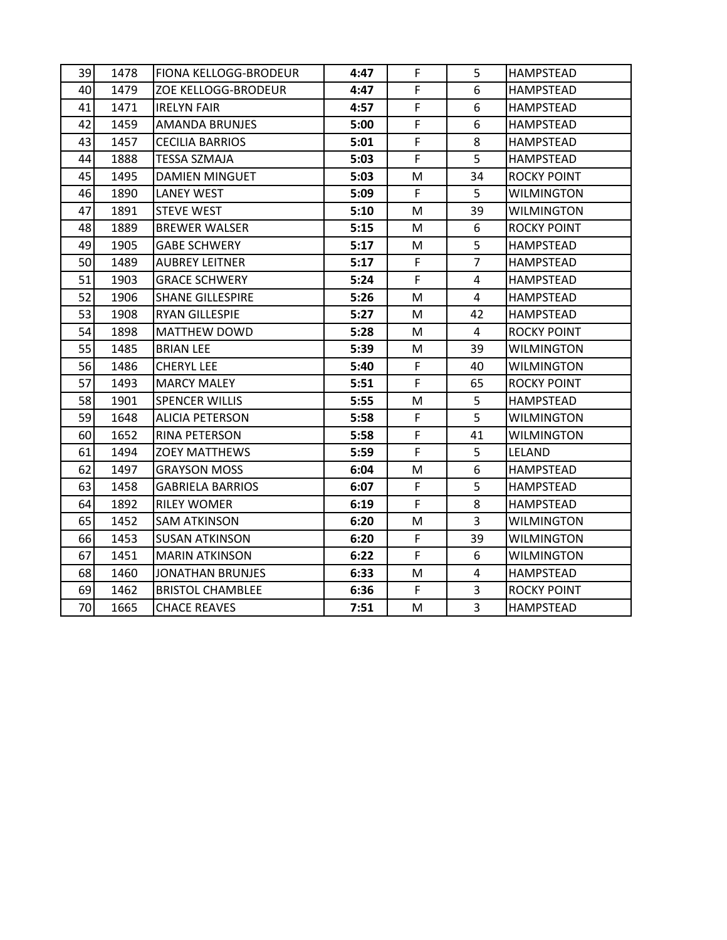| 39 | 1478 | <b>FIONA KELLOGG-BRODEUR</b> | 4:47 | F            | 5              | <b>HAMPSTEAD</b>   |
|----|------|------------------------------|------|--------------|----------------|--------------------|
| 40 | 1479 | ZOE KELLOGG-BRODEUR          | 4:47 | F            | 6              | <b>HAMPSTEAD</b>   |
| 41 | 1471 | <b>IRELYN FAIR</b>           | 4:57 | $\mathsf F$  | 6              | <b>HAMPSTEAD</b>   |
| 42 | 1459 | <b>AMANDA BRUNJES</b>        | 5:00 | $\mathsf{F}$ | 6              | <b>HAMPSTEAD</b>   |
| 43 | 1457 | <b>CECILIA BARRIOS</b>       | 5:01 | F            | 8              | HAMPSTEAD          |
| 44 | 1888 | <b>TESSA SZMAJA</b>          | 5:03 | F            | 5              | HAMPSTEAD          |
| 45 | 1495 | <b>DAMIEN MINGUET</b>        | 5:03 | M            | 34             | <b>ROCKY POINT</b> |
| 46 | 1890 | <b>LANEY WEST</b>            | 5:09 | F            | 5              | <b>WILMINGTON</b>  |
| 47 | 1891 | <b>STEVE WEST</b>            | 5:10 | M            | 39             | <b>WILMINGTON</b>  |
| 48 | 1889 | <b>BREWER WALSER</b>         | 5:15 | M            | 6              | <b>ROCKY POINT</b> |
| 49 | 1905 | <b>GABE SCHWERY</b>          | 5:17 | M            | 5 <sup>1</sup> | HAMPSTEAD          |
| 50 | 1489 | <b>AUBREY LEITNER</b>        | 5:17 | F            | $\overline{7}$ | <b>HAMPSTEAD</b>   |
| 51 | 1903 | <b>GRACE SCHWERY</b>         | 5:24 | F            | 4              | <b>HAMPSTEAD</b>   |
| 52 | 1906 | <b>SHANE GILLESPIRE</b>      | 5:26 | M            | $\overline{4}$ | <b>HAMPSTEAD</b>   |
| 53 | 1908 | <b>RYAN GILLESPIE</b>        | 5:27 | M            | 42             | <b>HAMPSTEAD</b>   |
| 54 | 1898 | <b>MATTHEW DOWD</b>          | 5:28 | M            | 4              | <b>ROCKY POINT</b> |
| 55 | 1485 | <b>BRIAN LEE</b>             | 5:39 | M            | 39             | <b>WILMINGTON</b>  |
| 56 | 1486 | <b>CHERYL LEE</b>            | 5:40 | F            | 40             | <b>WILMINGTON</b>  |
| 57 | 1493 | <b>MARCY MALEY</b>           | 5:51 | F            | 65             | <b>ROCKY POINT</b> |
| 58 | 1901 | <b>SPENCER WILLIS</b>        | 5:55 | M            | 5              | <b>HAMPSTEAD</b>   |
| 59 | 1648 | <b>ALICIA PETERSON</b>       | 5:58 | F            | 5              | WILMINGTON         |
| 60 | 1652 | <b>RINA PETERSON</b>         | 5:58 | F            | 41             | <b>WILMINGTON</b>  |
| 61 | 1494 | <b>ZOEY MATTHEWS</b>         | 5:59 | F            | 5              | <b>LELAND</b>      |
| 62 | 1497 | <b>GRAYSON MOSS</b>          | 6:04 | M            | 6              | <b>HAMPSTEAD</b>   |
| 63 | 1458 | <b>GABRIELA BARRIOS</b>      | 6:07 | F            | 5              | <b>HAMPSTEAD</b>   |
| 64 | 1892 | <b>RILEY WOMER</b>           | 6:19 | F            | 8              | <b>HAMPSTEAD</b>   |
| 65 | 1452 | <b>SAM ATKINSON</b>          | 6:20 | M            | $\overline{3}$ | WILMINGTON         |
| 66 | 1453 | <b>SUSAN ATKINSON</b>        | 6:20 | F            | 39             | <b>WILMINGTON</b>  |
| 67 | 1451 | <b>MARIN ATKINSON</b>        | 6:22 | $\mathsf F$  | 6              | <b>WILMINGTON</b>  |
| 68 | 1460 | <b>JONATHAN BRUNJES</b>      | 6:33 | M            | 4              | <b>HAMPSTEAD</b>   |
| 69 | 1462 | <b>BRISTOL CHAMBLEE</b>      | 6:36 | F            | 3              | <b>ROCKY POINT</b> |
| 70 | 1665 | <b>CHACE REAVES</b>          | 7:51 | M            | $\overline{3}$ | <b>HAMPSTEAD</b>   |